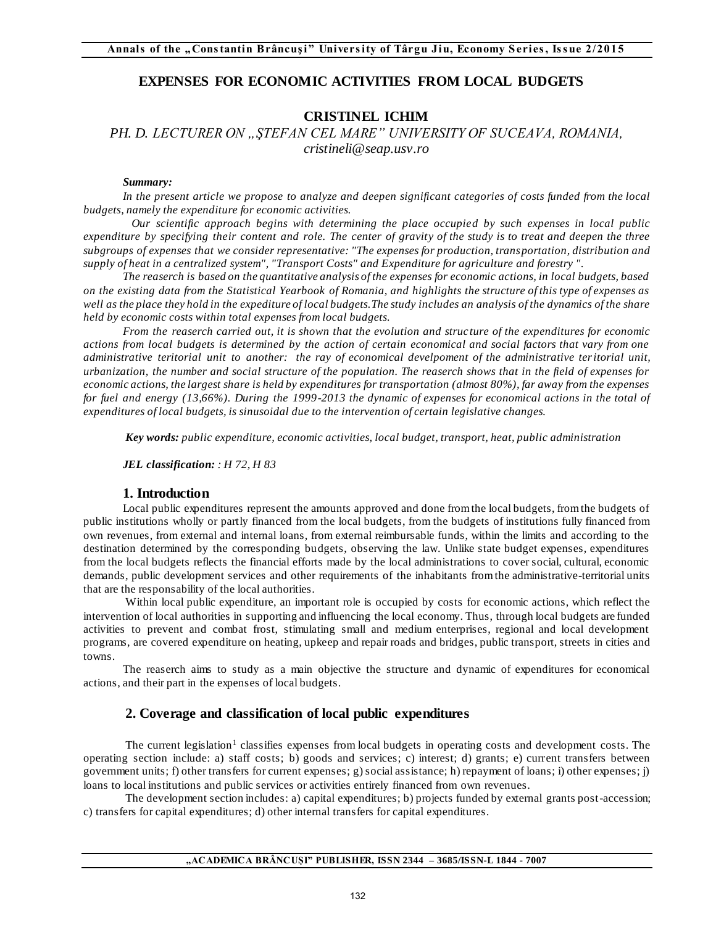## **EXPENSES FOR ECONOMIC ACTIVITIES FROM LOCAL BUDGETS**

# **CRISTINEL ICHIM**

PH. D. LECTURER ON "ŞTEFAN CEL MARE" UNIVERSITY OF SUCEAVA, ROMANIA, *cristineli@seap.usv.ro* 

#### *Summary:*

*In the present article we propose to analyze and deepen significant categories of costs funded from the local budgets, namely the expenditure for economic activities.* 

 *Our scientific approach begins with determining the place occupied by such expenses in local public expenditure by specifying their content and role. The center of gravity of the study is to treat and deepen the three subgroups of expenses that we consider representative: "The expenses for production, transportation, distribution and supply of heat in a centralized system", "Transport Costs" and Expenditure for agriculture and forestry ".* 

*The reaserch is based on the quantitative analysis of the expenses for economic actions, in local budgets, based on the existing data from the Statistical Yearbook of Romania, and highlights the structure of this type of expenses as*  well as the place they hold in the expediture of local budgets. The study includes an analysis of the dynamics of the share *held by economic costs within total expenses from local budgets.* 

*From the reaserch carried out, it is shown that the evolution and structure of the expenditures for economic actions from local budgets is determined by the action of certain economical and social factors that vary from one administrative teritorial unit to another: the ray of economical develpoment of the administrative ter itorial unit, urbanization, the number and social structure of the population. The reaserch shows that in the field of expenses for economic actions, the largest share is held by expenditures for transportation (almost 80%), far away from the expenses for fuel and energy (13,66%). During the 1999-2013 the dynamic of expenses for economical actions in the total of expenditures of local budgets, is sinusoidal due to the intervention of certain legislative changes.* 

*Key words: public expenditure, economic activities, local budget, transport, heat, public administration*

*JEL classification: : H 72, H 83*

#### **1. Introduction**

Local public expenditures represent the amounts approved and done from the local budgets, from the budgets of public institutions wholly or partly financed from the local budgets, from the budgets of institutions fully financed from own revenues, from external and internal loans, from external reimbursable funds, within the limits and according to the destination determined by the corresponding budgets, observing the law. Unlike state budget expenses, expenditures from the local budgets reflects the financial efforts made by the local administrations to cover social, cultural, economic demands, public development services and other requirements of the inhabitants from the administrative-territorial units that are the responsability of the local authorities.

 Within local public expenditure, an important role is occupied by costs for economic actions, which reflect the intervention of local authorities in supporting and influencing the local economy. Thus, through local budgets are funded activities to prevent and combat frost, stimulating small and medium enterprises, regional and local development programs, are covered expenditure on heating, upkeep and repair roads and bridges, public transport, streets in cities and towns.

The reaserch aims to study as a main objective the structure and dynamic of expenditures for economical actions, and their part in the expenses of local budgets.

## **2. Coverage and classification of local public expenditures**

The current legislation<sup>1</sup> classifies expenses from local budgets in operating costs and development costs. The operating section include: a) staff costs; b) goods and services; c) interest; d) grants; e) current transfers between government units; f) other transfers for current expenses; g) social assistance; h) repayment of loans; i) other expenses; j) loans to local institutions and public services or activities entirely financed from own revenues.

 The development section includes: a) capital expenditures; b) projects funded by external grants post-accession; c) transfers for capital expenditures; d) other internal transfers for capital expenditures.

### **"ACADEMICA BRÂNCUŞI" PUBLISHER, ISSN 2344 – 3685/ISSN-L 1844 - 7007**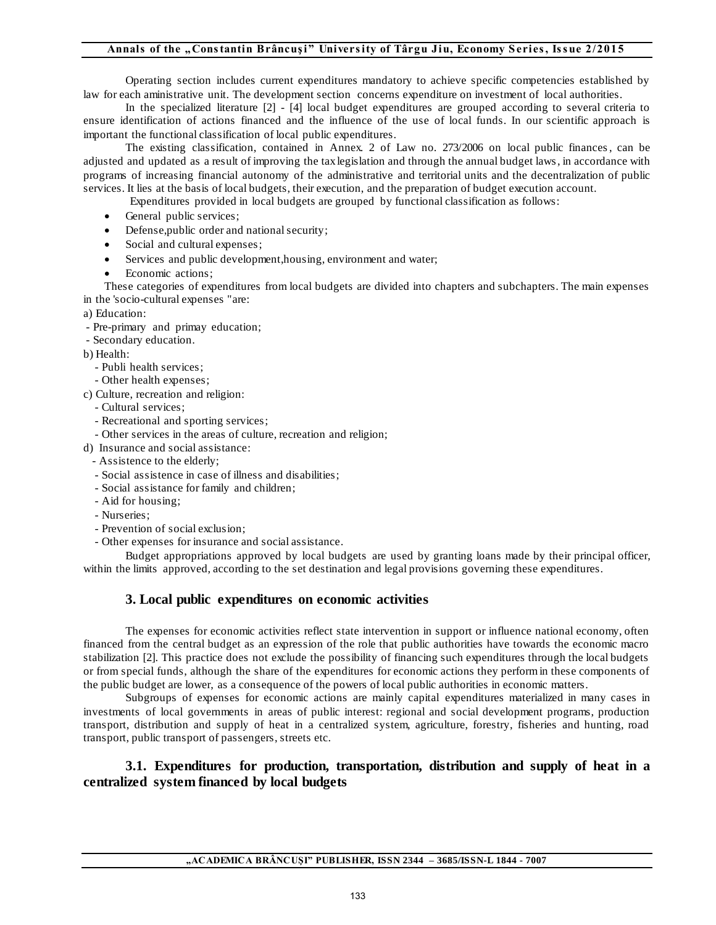Operating section includes current expenditures mandatory to achieve specific competencies established by law for each aministrative unit. The development section concerns expenditure on investment of local authorities.

 In the specialized literature [2] - [4] local budget expenditures are grouped according to several criteria to ensure identification of actions financed and the influence of the use of local funds. In our scientific approach is important the functional classification of local public expenditures.

 The existing classification, contained in Annex. 2 of Law no. 273/2006 on local public finances , can be adjusted and updated as a result of improving the tax legislation and through the annual budget laws , in accordance with programs of increasing financial autonomy of the administrative and territorial units and the decentralization of public services. It lies at the basis of local budgets, their execution, and the preparation of budget execution account.

Expenditures provided in local budgets are grouped by functional classification as follows:

- General public services:
- Defense, public order and national security;
- Social and cultural expenses;
- Services and public development,housing, environment and water;
- Economic actions;

These categories of expenditures from local budgets are divided into chapters and subchapters. The main expenses in the 'socio-cultural expenses "are:

- a) Education:
- Pre-primary and primay education;
- Secondary education.

b) Health:

- Publi health services;
- Other health expenses;
- c) Culture, recreation and religion:
	- Cultural services;
	- Recreational and sporting services;
	- Other services in the areas of culture, recreation and religion;
- d) Insurance and social assistance:
	- Assistence to the elderly;
	- Social assistence in case of illness and disabilities;
	- Social assistance for family and children;
	- Aid for housing;
	- Nurseries;
	- Prevention of social exclusion;
	- Other expenses for insurance and social assistance.

Budget appropriations approved by local budgets are used by granting loans made by their principal officer, within the limits approved, according to the set destination and legal provisions governing these expenditures.

# **3. Local public expenditures on economic activities**

The expenses for economic activities reflect state intervention in support or influence national economy, often financed from the central budget as an expression of the role that public authorities have towards the economic macro stabilization [2]. This practice does not exclude the possibility of financing such expenditures through the local budgets or from special funds, although the share of the expenditures for economic actions they perform in these components of the public budget are lower, as a consequence of the powers of local public authorities in economic matters.

Subgroups of expenses for economic actions are mainly capital expenditures materialized in many cases in investments of local governments in areas of public interest: regional and social development programs, production transport, distribution and supply of heat in a centralized system, agriculture, forestry, fisheries and hunting, road transport, public transport of passengers, streets etc.

# **3.1. Expenditures for production, transportation, distribution and supply of heat in a centralized system financed by local budgets**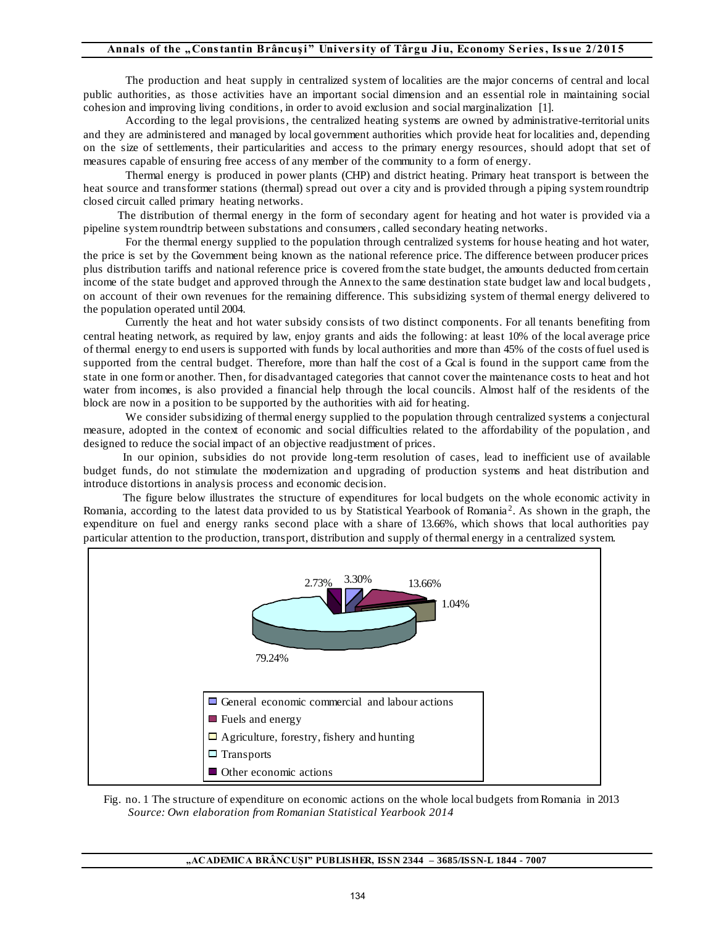The production and heat supply in centralized system of localities are the major concerns of central and local public authorities, as those activities have an important social dimension and an essential role in maintaining social cohesion and improving living conditions, in order to avoid exclusion and social marginalization [1].

 According to the legal provisions, the centralized heating systems are owned by administrative-territorial units and they are administered and managed by local government authorities which provide heat for localities and, depending on the size of settlements, their particularities and access to the primary energy resources, should adopt that set of measures capable of ensuring free access of any member of the community to a form of energy.

 Thermal energy is produced in power plants (CHP) and district heating. Primary heat transport is between the heat source and transformer stations (thermal) spread out over a city and is provided through a piping system roundtrip closed circuit called primary heating networks.

 The distribution of thermal energy in the form of secondary agent for heating and hot water is provided via a pipeline system roundtrip between substations and consumers , called secondary heating networks.

 For the thermal energy supplied to the population through centralized systems for house heating and hot water, the price is set by the Government being known as the national reference price. The difference between producer prices plus distribution tariffs and national reference price is covered from the state budget, the amounts deducted from certain income of the state budget and approved through the Annex to the same destination state budget law and local budgets , on account of their own revenues for the remaining difference. This subsidizing system of thermal energy delivered to the population operated until 2004.

 Currently the heat and hot water subsidy consists of two distinct components. For all tenants benefiting from central heating network, as required by law, enjoy grants and aids the following: at least 10% of the local average price of thermal energy to end users is supported with funds by local authorities and more than 45% of the costs of fuel used is supported from the central budget. Therefore, more than half the cost of a Gcal is found in the support came from the state in one form or another. Then, for disadvantaged categories that cannot cover the maintenance costs to heat and hot water from incomes, is also provided a financial help through the local councils. Almost half of the residents of the block are now in a position to be supported by the authorities with aid for heating.

We consider subsidizing of thermal energy supplied to the population through centralized systems a conjectural measure, adopted in the context of economic and social difficulties related to the affordability of the population , and designed to reduce the social impact of an objective readjustment of prices.

 In our opinion, subsidies do not provide long-term resolution of cases, lead to inefficient use of available budget funds, do not stimulate the modernization and upgrading of production systems and heat distribution and introduce distortions in analysis process and economic decision.

 The figure below illustrates the structure of expenditures for local budgets on the whole economic activity in Romania, according to the latest data provided to us by Statistical Yearbook of Romania<sup>2</sup>. As shown in the graph, the expenditure on fuel and energy ranks second place with a share of 13.66%, which shows that local authorities pay particular attention to the production, transport, distribution and supply of thermal energy in a centralized system.



 Fig. no. 1 The structure of expenditure on economic actions on the whole local budgets from Romania in 2013 *Source: Own elaboration from Romanian Statistical Yearbook 2014*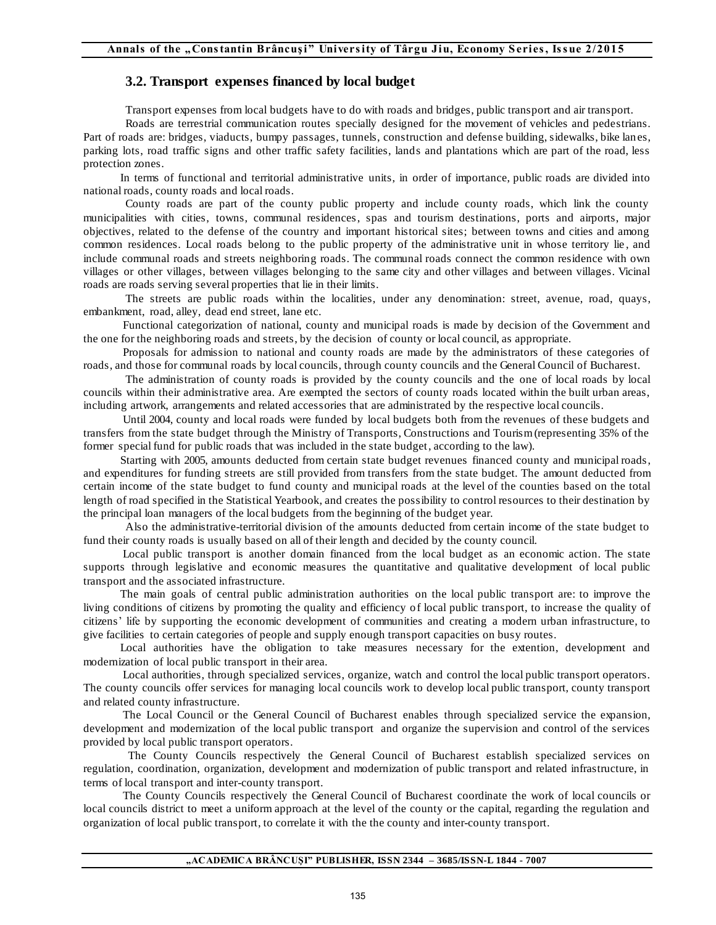# **3.2. Transport expenses financed by local budget**

Transport expenses from local budgets have to do with roads and bridges, public transport and air transport.

 Roads are terrestrial communication routes specially designed for the movement of vehicles and pedestrians. Part of roads are: bridges, viaducts, bumpy passages, tunnels, construction and defense building, sidewalks, bike lanes, parking lots, road traffic signs and other traffic safety facilities, lands and plantations which are part of the road, less protection zones.

 In terms of functional and territorial administrative units, in order of importance, public roads are divided into national roads, county roads and local roads.

 County roads are part of the county public property and include county roads, which link the county municipalities with cities, towns, communal residences, spas and tourism destinations, ports and airports, major objectives, related to the defense of the country and important historical sites; between towns and cities and among common residences. Local roads belong to the public property of the administrative unit in whose territory lie, and include communal roads and streets neighboring roads. The communal roads connect the common residence with own villages or other villages, between villages belonging to the same city and other villages and between villages. Vicinal roads are roads serving several properties that lie in their limits.

 The streets are public roads within the localities, under any denomination: street, avenue, road, quays, embankment, road, alley, dead end street, lane etc.

 Functional categorization of national, county and municipal roads is made by decision of the Government and the one for the neighboring roads and streets, by the decision of county or local council, as appropriate.

 Proposals for admission to national and county roads are made by the administrators of these categories of roads, and those for communal roads by local councils, through county councils and the General Council of Bucharest.

 The administration of county roads is provided by the county councils and the one of local roads by local councils within their administrative area. Are exempted the sectors of county roads located within the built urban areas, including artwork, arrangements and related accessories that are administrated by the respective local councils.

 Until 2004, county and local roads were funded by local budgets both from the revenues of these budgets and transfers from the state budget through the Ministry of Transports, Constructions and Tourism (representing 35% of the former special fund for public roads that was included in the state budget, according to the law).

 Starting with 2005, amounts deducted from certain state budget revenues financed county and municipal roads, and expenditures for funding streets are still provided from transfers from the state budget. The amount deducted from certain income of the state budget to fund county and municipal roads at the level of the counties based on the total length of road specified in the Statistical Yearbook, and creates the possibility to control resources to their destination by the principal loan managers of the local budgets from the beginning of the budget year.

 Also the administrative-territorial division of the amounts deducted from certain income of the state budget to fund their county roads is usually based on all of their length and decided by the county council.

 Local public transport is another domain financed from the local budget as an economic action. The state supports through legislative and economic measures the quantitative and qualitative development of local public transport and the associated infrastructure.

 The main goals of central public administration authorities on the local public transport are: to improve the living conditions of citizens by promoting the quality and efficiency of local public transport, to increase the quality of citizens' life by supporting the economic development of communities and creating a modern urban infrastructure, to give facilities to certain categories of people and supply enough transport capacities on busy routes.

 Local authorities have the obligation to take measures necessary for the extention, development and modernization of local public transport in their area.

 Local authorities, through specialized services, organize, watch and control the local public transport operators. The county councils offer services for managing local councils work to develop local public transport, county transport and related county infrastructure.

 The Local Council or the General Council of Bucharest enables through specialized service the expansion, development and modernization of the local public transport and organize the supervision and control of the services provided by local public transport operators.

 The County Councils respectively the General Council of Bucharest establish specialized services on regulation, coordination, organization, development and modernization of public transport and related infrastructure, in terms of local transport and inter-county transport.

 The County Councils respectively the General Council of Bucharest coordinate the work of local councils or local councils district to meet a uniform approach at the level of the county or the capital, regarding the regulation and organization of local public transport, to correlate it with the the county and inter-county transport.

#### **"ACADEMICA BRÂNCUŞI" PUBLISHER, ISSN 2344 – 3685/ISSN-L 1844 - 7007**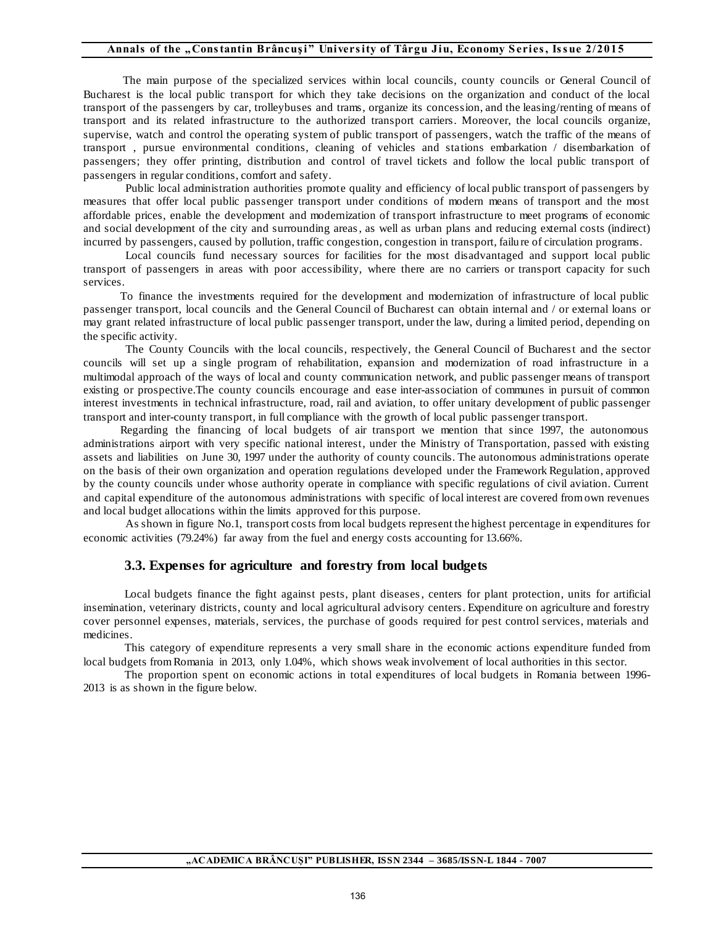The main purpose of the specialized services within local councils, county councils or General Council of Bucharest is the local public transport for which they take decisions on the organization and conduct of the local transport of the passengers by car, trolleybuses and trams, organize its concession, and the leasing/renting of means of transport and its related infrastructure to the authorized transport carriers. Moreover, the local councils organize, supervise, watch and control the operating system of public transport of passengers, watch the traffic of the means of transport , pursue environmental conditions, cleaning of vehicles and stations embarkation / disembarkation of passengers; they offer printing, distribution and control of travel tickets and follow the local public transport of passengers in regular conditions, comfort and safety.

 Public local administration authorities promote quality and efficiency of local public transport of passengers by measures that offer local public passenger transport under conditions of modern means of transport and the most affordable prices, enable the development and modernization of transport infrastructure to meet programs of economic and social development of the city and surrounding areas , as well as urban plans and reducing external costs (indirect) incurred by passengers, caused by pollution, traffic congestion, congestion in transport, failu re of circulation programs.

 Local councils fund necessary sources for facilities for the most disadvantaged and support local public transport of passengers in areas with poor accessibility, where there are no carriers or transport capacity for such services.

 To finance the investments required for the development and modernization of infrastructure of local public passenger transport, local councils and the General Council of Bucharest can obtain internal and / or external loans or may grant related infrastructure of local public passenger transport, under the law, during a limited period, depending on the specific activity.

 The County Councils with the local councils, respectively, the General Council of Bucharest and the sector councils will set up a single program of rehabilitation, expansion and modernization of road infrastructure in a multimodal approach of the ways of local and county communication network, and public passenger means of transport existing or prospective.The county councils encourage and ease inter-association of communes in pursuit of common interest investments in technical infrastructure, road, rail and aviation, to offer unitary development of public passenger transport and inter-county transport, in full compliance with the growth of local public passenger transport.

 Regarding the financing of local budgets of air transport we mention that since 1997, the autonomous administrations airport with very specific national interest, under the Ministry of Transportation, passed with existing assets and liabilities on June 30, 1997 under the authority of county councils. The autonomous administrations operate on the basis of their own organization and operation regulations developed under the Framework Regulation, approved by the county councils under whose authority operate in compliance with specific regulations of civil aviation. Current and capital expenditure of the autonomous administrations with specific of local interest are covered from own revenues and local budget allocations within the limits approved for this purpose.

 As shown in figure No.1, transport costs from local budgets represent the highest percentage in expenditures for economic activities (79.24%) far away from the fuel and energy costs accounting for 13.66%.

# **3.3. Expenses for agriculture and forestry from local budgets**

Local budgets finance the fight against pests, plant diseases , centers for plant protection, units for artificial insemination, veterinary districts, county and local agricultural advisory centers. Expenditure on agriculture and forestry cover personnel expenses, materials, services, the purchase of goods required for pest control services, materials and medicines.

This category of expenditure represents a very small share in the economic actions expenditure funded from local budgets from Romania in 2013, only 1.04%, which shows weak involvement of local authorities in this sector.

The proportion spent on economic actions in total expenditures of local budgets in Romania between 1996- 2013 is as shown in the figure below.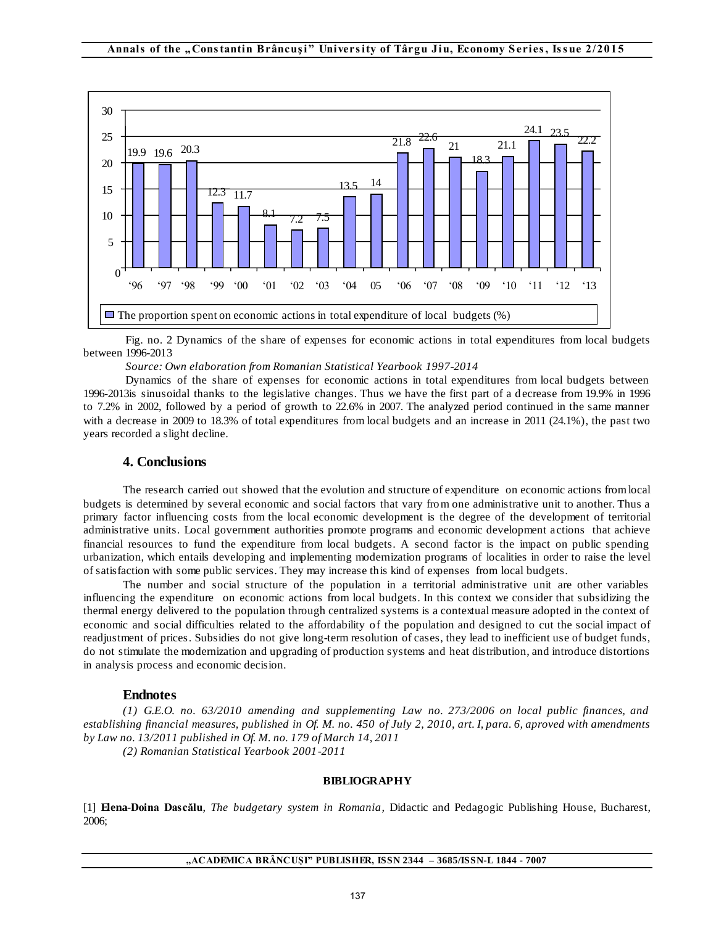

Fig. no. 2 Dynamics of the share of expenses for economic actions in total expenditures from local budgets between 1996-2013

*Source: Own elaboration from Romanian Statistical Yearbook 1997-2014*

Dynamics of the share of expenses for economic actions in total expenditures from local budgets between 1996-2013is sinusoidal thanks to the legislative changes. Thus we have the first part of a d ecrease from 19.9% in 1996 to 7.2% in 2002, followed by a period of growth to 22.6% in 2007. The analyzed period continued in the same manner with a decrease in 2009 to 18.3% of total expenditures from local budgets and an increase in 2011 (24.1%), the past two years recorded a slight decline.

## **4. Conclusions**

The research carried out showed that the evolution and structure of expenditure on economic actions from local budgets is determined by several economic and social factors that vary fro m one administrative unit to another. Thus a primary factor influencing costs from the local economic development is the degree of the development of territorial administrative units. Local government authorities promote programs and economic development actions that achieve financial resources to fund the expenditure from local budgets. A second factor is the impact on public spending urbanization, which entails developing and implementing modernization programs of localities in order to raise the level of satisfaction with some public services. They may increase this kind of expenses from local budgets.

The number and social structure of the population in a territorial administrative unit are other variables influencing the expenditure on economic actions from local budgets. In this context we consider that subsidizing the thermal energy delivered to the population through centralized systems is a contextual measure adopted in the context of economic and social difficulties related to the affordability of the population and designed to cut the social impact of readjustment of prices. Subsidies do not give long-term resolution of cases, they lead to inefficient use of budget funds, do not stimulate the modernization and upgrading of production systems and heat distribution, and introduce distortions in analysis process and economic decision.

#### **Endnotes**

*(1) G.E.O. no. 63/2010 amending and supplementing Law no. 273/2006 on local public finances, and establishing financial measures, published in Of. M. no. 450 of July 2, 2010, art. I, para. 6, aproved with amendments by Law no. 13/2011 published in Of. M. no. 179 of March 14, 2011 (2) Romanian Statistical Yearbook 2001-2011* 

**BIBLIOGRAPHY** 

[1] **Elena-Doina Dascălu**, *The budgetary system in Romania,* Didactic and Pedagogic Publishing House, Bucharest, 2006;

#### **"ACADEMICA BRÂNCUŞI" PUBLISHER, ISSN 2344 – 3685/ISSN-L 1844 - 7007**